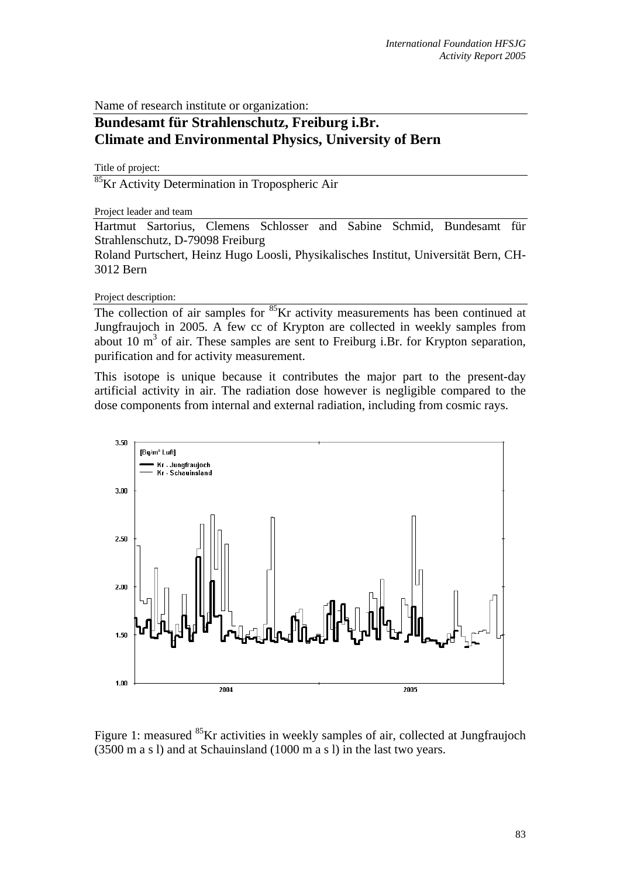Name of research institute or organization:

## **Bundesamt für Strahlenschutz, Freiburg i.Br. Climate and Environmental Physics, University of Bern**

Title of project:

<sup>85</sup>Kr Activity Determination in Tropospheric Air

## Project leader and team

Hartmut Sartorius, Clemens Schlosser and Sabine Schmid, Bundesamt für Strahlenschutz, D-79098 Freiburg

Roland Purtschert, Heinz Hugo Loosli, Physikalisches Institut, Universität Bern, CH-3012 Bern

Project description:

The collection of air samples for <sup>85</sup>Kr activity measurements has been continued at Jungfraujoch in 2005. A few cc of Krypton are collected in weekly samples from about 10  $\text{m}^3$  of air. These samples are sent to Freiburg i.Br. for Krypton separation, purification and for activity measurement.

This isotope is unique because it contributes the major part to the present-day artificial activity in air. The radiation dose however is negligible compared to the dose components from internal and external radiation, including from cosmic rays.



Figure 1: measured <sup>85</sup>Kr activities in weekly samples of air, collected at Jungfraujoch (3500 m a s l) and at Schauinsland (1000 m a s l) in the last two years.